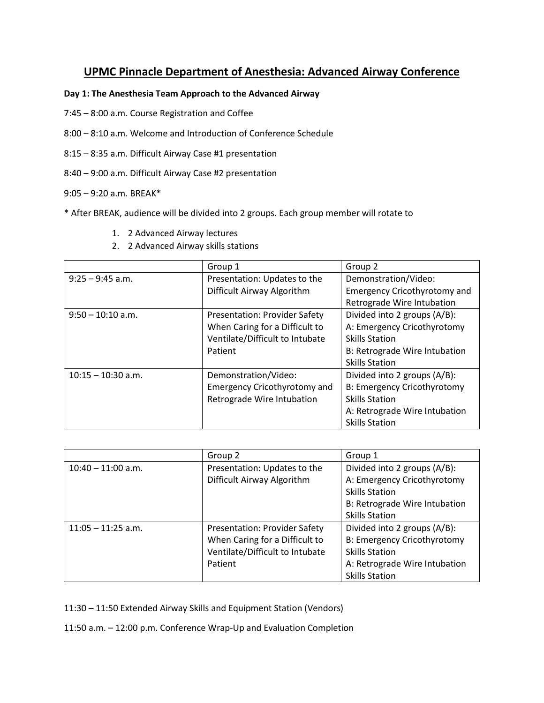# **UPMC Pinnacle Department of Anesthesia: Advanced Airway Conference**

## **Day 1: The Anesthesia Team Approach to the Advanced Airway**

- 7:45 8:00 a.m. Course Registration and Coffee
- 8:00 8:10 a.m. Welcome and Introduction of Conference Schedule
- 8:15 8:35 a.m. Difficult Airway Case #1 presentation
- 8:40 9:00 a.m. Difficult Airway Case #2 presentation

### 9:05 – 9:20 a.m. BREAK\*

- \* After BREAK, audience will be divided into 2 groups. Each group member will rotate to
	- 1. 2 Advanced Airway lectures
	- 2. 2 Advanced Airway skills stations

|                      | Group 1                              | Group 2                             |
|----------------------|--------------------------------------|-------------------------------------|
| $9:25 - 9:45$ a.m.   | Presentation: Updates to the         | Demonstration/Video:                |
|                      | Difficult Airway Algorithm           | <b>Emergency Cricothyrotomy and</b> |
|                      |                                      | Retrograde Wire Intubation          |
| $9:50 - 10:10$ a.m.  | <b>Presentation: Provider Safety</b> | Divided into 2 groups (A/B):        |
|                      | When Caring for a Difficult to       | A: Emergency Cricothyrotomy         |
|                      | Ventilate/Difficult to Intubate      | <b>Skills Station</b>               |
|                      | Patient                              | B: Retrograde Wire Intubation       |
|                      |                                      | <b>Skills Station</b>               |
| $10:15 - 10:30$ a.m. | Demonstration/Video:                 | Divided into 2 groups (A/B):        |
|                      | <b>Emergency Cricothyrotomy and</b>  | B: Emergency Cricothyrotomy         |
|                      | Retrograde Wire Intubation           | <b>Skills Station</b>               |
|                      |                                      | A: Retrograde Wire Intubation       |
|                      |                                      | <b>Skills Station</b>               |

|                      | Group 2                              | Group 1                            |
|----------------------|--------------------------------------|------------------------------------|
| $10:40 - 11:00$ a.m. | Presentation: Updates to the         | Divided into 2 groups (A/B):       |
|                      | Difficult Airway Algorithm           | A: Emergency Cricothyrotomy        |
|                      |                                      | <b>Skills Station</b>              |
|                      |                                      | B: Retrograde Wire Intubation      |
|                      |                                      | <b>Skills Station</b>              |
| $11:05 - 11:25$ a.m. | <b>Presentation: Provider Safety</b> | Divided into 2 groups (A/B):       |
|                      | When Caring for a Difficult to       | <b>B: Emergency Cricothyrotomy</b> |
|                      | Ventilate/Difficult to Intubate      | <b>Skills Station</b>              |
|                      | Patient                              | A: Retrograde Wire Intubation      |
|                      |                                      | <b>Skills Station</b>              |

11:30 – 11:50 Extended Airway Skills and Equipment Station (Vendors)

11:50 a.m. – 12:00 p.m. Conference Wrap-Up and Evaluation Completion